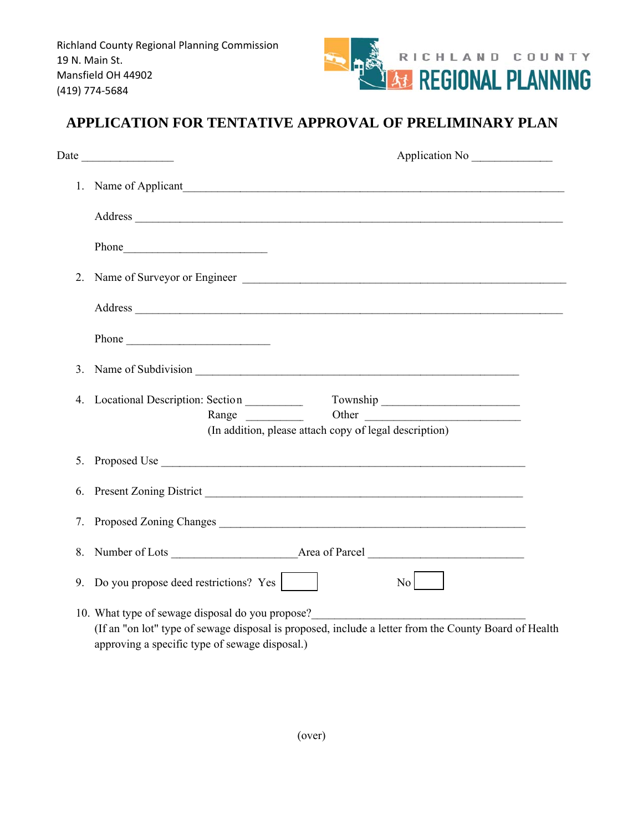

## APPLICATION FOR TENTATIVE APPROVAL OF PRELIMINARY PLAN

|         | 1. Name of Applicant                                                                                                                                                                                                                                                              |
|---------|-----------------------------------------------------------------------------------------------------------------------------------------------------------------------------------------------------------------------------------------------------------------------------------|
|         |                                                                                                                                                                                                                                                                                   |
|         |                                                                                                                                                                                                                                                                                   |
| $2_{-}$ |                                                                                                                                                                                                                                                                                   |
|         | Address and the contract of the contract of the contract of the contract of the contract of the contract of the contract of the contract of the contract of the contract of the contract of the contract of the contract of th                                                    |
|         |                                                                                                                                                                                                                                                                                   |
|         |                                                                                                                                                                                                                                                                                   |
| 4.      | Locational Description: Section __________                                                                                                                                                                                                                                        |
|         | Other<br>Range<br>(In addition, please attach copy of legal description)                                                                                                                                                                                                          |
|         | 5. Proposed Use                                                                                                                                                                                                                                                                   |
| 6.      |                                                                                                                                                                                                                                                                                   |
| 7.      | Proposed Zoning Changes <b>Market and Science Control</b> and Theorem and Theorem 2014                                                                                                                                                                                            |
|         |                                                                                                                                                                                                                                                                                   |
|         | 9. Do you propose deed restrictions? Yes  <br>$\overline{N_0}$ $\overline{N_0}$                                                                                                                                                                                                   |
|         | 10. What type of sewage disposal do you propose?<br><u>Letting and the contract of sewage disposal do you propose?</u><br>(If an "on lot" type of sewage disposal is proposed, include a letter from the County Board of Health<br>approving a specific type of sewage disposal.) |